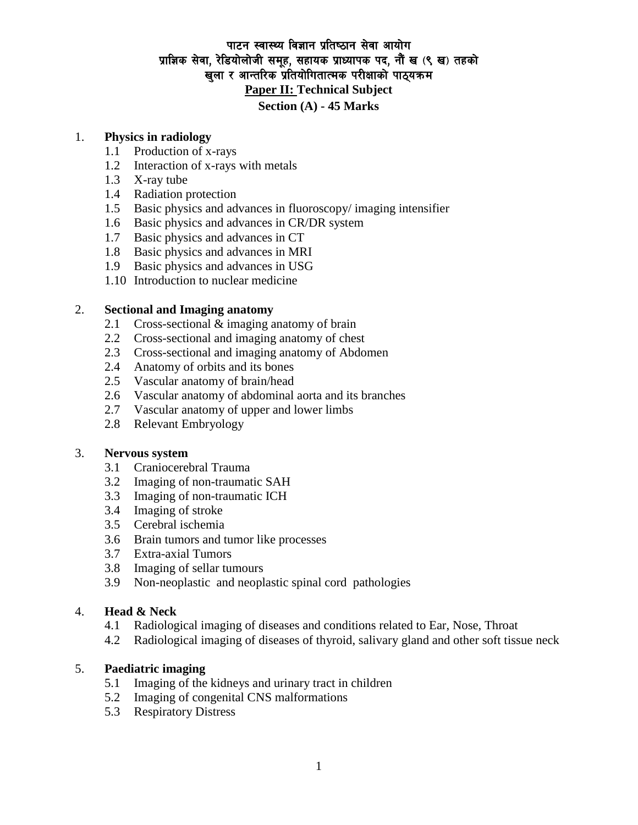# पाटन स्वास्थ्य विज्ञान प्रतिष्ठान सेवा आयोग प्राज्ञिक सेवा, रेडियोलोजी समूह, सहायक प्राध्यापक पद, नौं ख (९ ख) तहको खला र आन्तरिक प्रतियोगितात्मक परीक्षाको पाठयक्रम **Paper II: Technical Subject Section (A) - 45 Marks**

## 1. **Physics in radiology**

- 1.1 Production of x-rays
- 1.2 Interaction of x-rays with metals
- 1.3 X-ray tube
- 1.4 Radiation protection
- 1.5 Basic physics and advances in fluoroscopy/ imaging intensifier
- 1.6 Basic physics and advances in CR/DR system
- 1.7 Basic physics and advances in CT
- 1.8 Basic physics and advances in MRI
- 1.9 Basic physics and advances in USG
- 1.10 Introduction to nuclear medicine

## 2. **Sectional and Imaging anatomy**

- 2.1 Cross-sectional & imaging anatomy of brain
- 2.2 Cross-sectional and imaging anatomy of chest
- 2.3 Cross-sectional and imaging anatomy of Abdomen
- 2.4 Anatomy of orbits and its bones
- 2.5 Vascular anatomy of brain/head
- 2.6 Vascular anatomy of abdominal aorta and its branches
- 2.7 Vascular anatomy of upper and lower limbs
- 2.8 Relevant Embryology

### 3. **Nervous system**

- 3.1 Craniocerebral Trauma
- 3.2 Imaging of non-traumatic SAH
- 3.3 Imaging of non-traumatic ICH
- 3.4 Imaging of stroke
- 3.5 Cerebral ischemia
- 3.6 Brain tumors and tumor like processes
- 3.7 Extra-axial Tumors
- 3.8 Imaging of sellar tumours
- 3.9 Non-neoplastic and neoplastic spinal cord pathologies

### 4. **Head & Neck**

- 4.1 Radiological imaging of diseases and conditions related to Ear, Nose, Throat
- 4.2 Radiological imaging of diseases of thyroid, salivary gland and other soft tissue neck

## 5. **Paediatric imaging**

- 5.1 Imaging of the kidneys and urinary tract in children
- 5.2 Imaging of congenital CNS malformations
- 5.3 Respiratory Distress